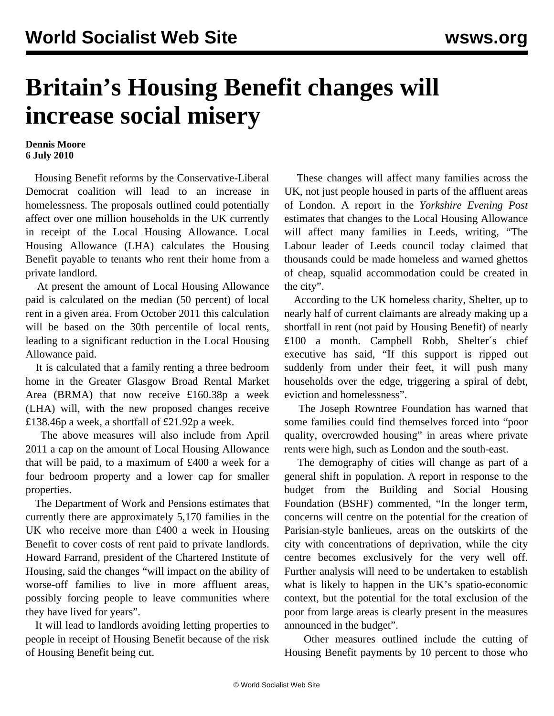## **Britain's Housing Benefit changes will increase social misery**

## **Dennis Moore 6 July 2010**

 Housing Benefit reforms by the Conservative-Liberal Democrat coalition will lead to an increase in homelessness. The proposals outlined could potentially affect over one million households in the UK currently in receipt of the Local Housing Allowance. Local Housing Allowance (LHA) calculates the Housing Benefit payable to tenants who rent their home from a private landlord.

 At present the amount of Local Housing Allowance paid is calculated on the median (50 percent) of local rent in a given area. From October 2011 this calculation will be based on the 30th percentile of local rents, leading to a significant reduction in the Local Housing Allowance paid.

 It is calculated that a family renting a three bedroom home in the Greater Glasgow Broad Rental Market Area (BRMA) that now receive £160.38p a week (LHA) will, with the new proposed changes receive £138.46p a week, a shortfall of £21.92p a week.

 The above measures will also include from April 2011 a cap on the amount of Local Housing Allowance that will be paid, to a maximum of £400 a week for a four bedroom property and a lower cap for smaller properties.

 The Department of Work and Pensions estimates that currently there are approximately 5,170 families in the UK who receive more than £400 a week in Housing Benefit to cover costs of rent paid to private landlords. Howard Farrand, president of the Chartered Institute of Housing, said the changes "will impact on the ability of worse-off families to live in more affluent areas, possibly forcing people to leave communities where they have lived for years".

 It will lead to landlords avoiding letting properties to people in receipt of Housing Benefit because of the risk of Housing Benefit being cut.

 These changes will affect many families across the UK, not just people housed in parts of the affluent areas of London. A report in the *Yorkshire Evening Post* estimates that changes to the Local Housing Allowance will affect many families in Leeds, writing, "The Labour leader of Leeds council today claimed that thousands could be made homeless and warned ghettos of cheap, squalid accommodation could be created in the city".

 According to the UK homeless charity, Shelter, up to nearly half of current claimants are already making up a shortfall in rent (not paid by Housing Benefit) of nearly £100 a month. Campbell Robb, Shelter´s chief executive has said, "If this support is ripped out suddenly from under their feet, it will push many households over the edge, triggering a spiral of debt, eviction and homelessness".

 The Joseph Rowntree Foundation has warned that some families could find themselves forced into "poor quality, overcrowded housing" in areas where private rents were high, such as London and the south-east.

 The demography of cities will change as part of a general shift in population. A report in response to the budget from the Building and Social Housing Foundation (BSHF) commented, "In the longer term, concerns will centre on the potential for the creation of Parisian-style banlieues, areas on the outskirts of the city with concentrations of deprivation, while the city centre becomes exclusively for the very well off. Further analysis will need to be undertaken to establish what is likely to happen in the UK's spatio-economic context, but the potential for the total exclusion of the poor from large areas is clearly present in the measures announced in the budget".

 Other measures outlined include the cutting of Housing Benefit payments by 10 percent to those who